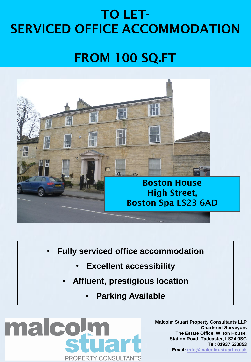## TO LET-SERVICED OFFICE ACCOMMODATION

## FROM 100 SQ.FT



- **Fully serviced office accommodation**
	- **Excellent accessibility**
	- **Affluent, prestigious location**
		- **Parking Available**

malcol **PROPERTY CONSULTANTS** 

**Malcolm Stuart Property Consultants LLP Chartered Surveyors The Estate Office, Wilton House, Station Road, Tadcaster, LS24 9SG Tel: 01937 530853 Email: [info@malcolm-stuart.co.uk](mailto:info@malcolm-stuart.co.uk)**